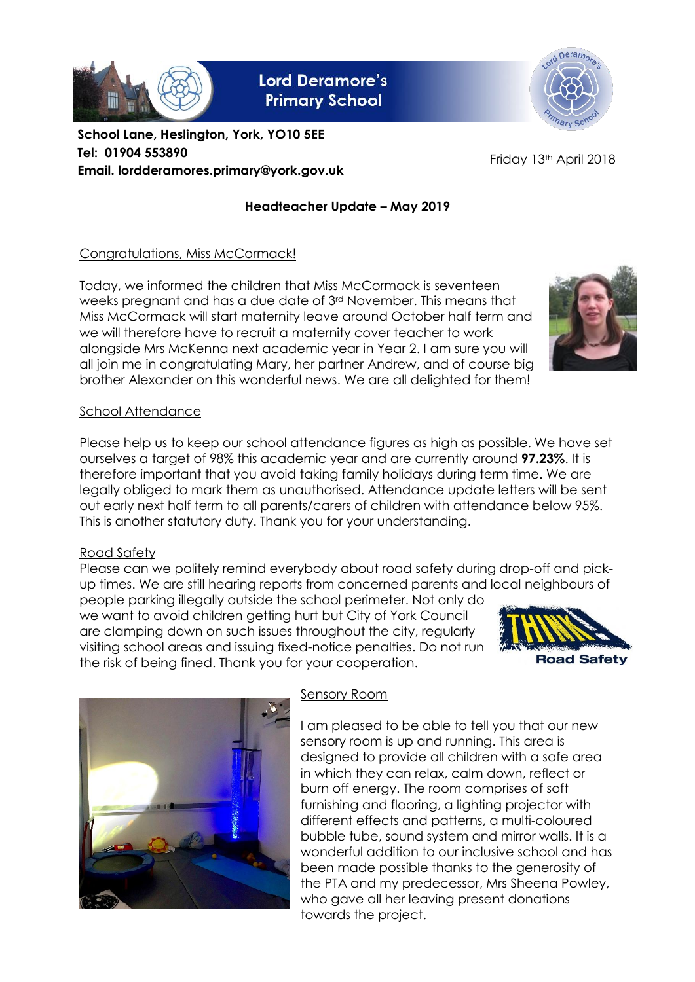

**Lord Deramore's Primary School** 



**School Lane, Heslington, York, YO10 5EE Tel: 01904 553890 Email. lordderamores.primary@york.gov.uk**

Friday 13<sup>th</sup> April 2018

# **Headteacher Update – May 2019**

### Congratulations, Miss McCormack!

Today, we informed the children that Miss McCormack is seventeen weeks pregnant and has a due date of 3rd November. This means that Miss McCormack will start maternity leave around October half term and we will therefore have to recruit a maternity cover teacher to work alongside Mrs McKenna next academic year in Year 2. I am sure you will all join me in congratulating Mary, her partner Andrew, and of course big brother Alexander on this wonderful news. We are all delighted for them!

#### School Attendance

Please help us to keep our school attendance figures as high as possible. We have set ourselves a target of 98% this academic year and are currently around **97.23%**. It is therefore important that you avoid taking family holidays during term time. We are legally obliged to mark them as unauthorised. Attendance update letters will be sent out early next half term to all parents/carers of children with attendance below 95%. This is another statutory duty. Thank you for your understanding.

## Road Safety

Please can we politely remind everybody about road safety during drop-off and pickup times. We are still hearing reports from concerned parents and local neighbours of

people parking illegally outside the school perimeter. Not only do we want to avoid children getting hurt but City of York Council are clamping down on such issues throughout the city, regularly visiting school areas and issuing fixed-notice penalties. Do not run the risk of being fined. Thank you for your cooperation.





## Sensory Room

I am pleased to be able to tell you that our new sensory room is up and running. This area is designed to provide all children with a safe area in which they can relax, calm down, reflect or burn off energy. The room comprises of soft furnishing and flooring, a lighting projector with different effects and patterns, a multi-coloured bubble tube, sound system and mirror walls. It is a wonderful addition to our inclusive school and has been made possible thanks to the generosity of the PTA and my predecessor, Mrs Sheena Powley, who gave all her leaving present donations towards the project.